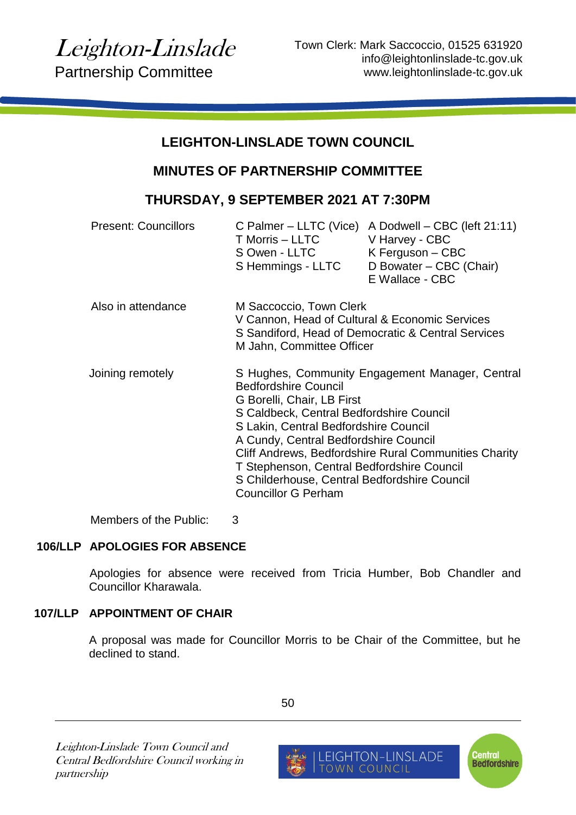# **LEIGHTON-LINSLADE TOWN COUNCIL**

# **MINUTES OF PARTNERSHIP COMMITTEE**

# **THURSDAY, 9 SEPTEMBER 2021 AT 7:30PM**

| <b>Present: Councillors</b> | C Palmer – LLTC (Vice)<br>T Morris - LLTC<br>S Owen - LLTC<br>S Hemmings - LLTC                                                                                                                                                                                                                                                                                                                                                 | A Dodwell - CBC (left 21:11)<br>V Harvey - CBC<br>$K$ Ferguson – CBC<br>D Bowater - CBC (Chair)<br>E Wallace - CBC |
|-----------------------------|---------------------------------------------------------------------------------------------------------------------------------------------------------------------------------------------------------------------------------------------------------------------------------------------------------------------------------------------------------------------------------------------------------------------------------|--------------------------------------------------------------------------------------------------------------------|
| Also in attendance          | M Saccoccio, Town Clerk<br>V Cannon, Head of Cultural & Economic Services<br>S Sandiford, Head of Democratic & Central Services<br>M Jahn, Committee Officer                                                                                                                                                                                                                                                                    |                                                                                                                    |
| Joining remotely            | S Hughes, Community Engagement Manager, Central<br><b>Bedfordshire Council</b><br>G Borelli, Chair, LB First<br>S Caldbeck, Central Bedfordshire Council<br>S Lakin, Central Bedfordshire Council<br>A Cundy, Central Bedfordshire Council<br>Cliff Andrews, Bedfordshire Rural Communities Charity<br>T Stephenson, Central Bedfordshire Council<br>S Childerhouse, Central Bedfordshire Council<br><b>Councillor G Perham</b> |                                                                                                                    |

Members of the Public: 3

# **106/LLP APOLOGIES FOR ABSENCE**

Apologies for absence were received from Tricia Humber, Bob Chandler and Councillor Kharawala.

# **107/LLP APPOINTMENT OF CHAIR**

A proposal was made for Councillor Morris to be Chair of the Committee, but he declined to stand.

Leighton-Linslade Town Council and Central Bedfordshire Council working in partnership

50



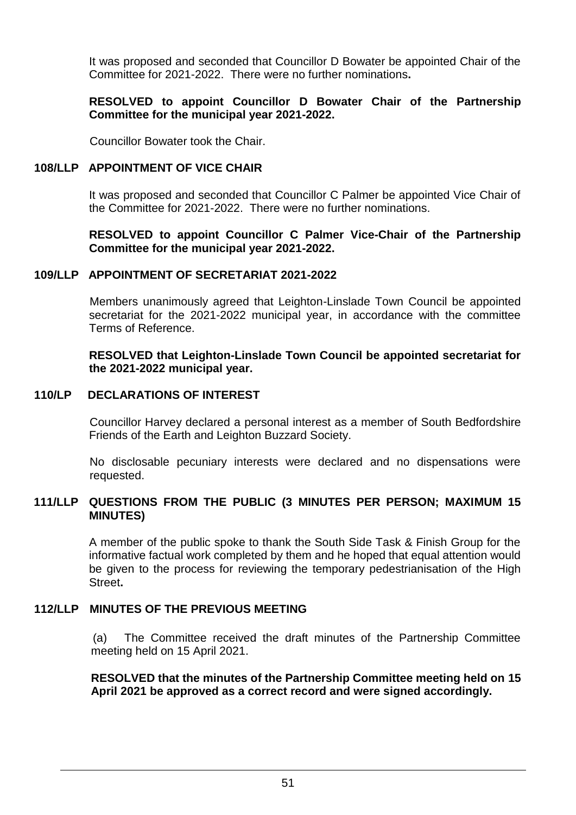It was proposed and seconded that Councillor D Bowater be appointed Chair of the Committee for 2021-2022. There were no further nominations**.**

#### **RESOLVED to appoint Councillor D Bowater Chair of the Partnership Committee for the municipal year 2021-2022.**

Councillor Bowater took the Chair.

#### **108/LLP APPOINTMENT OF VICE CHAIR**

It was proposed and seconded that Councillor C Palmer be appointed Vice Chair of the Committee for 2021-2022. There were no further nominations.

**RESOLVED to appoint Councillor C Palmer Vice-Chair of the Partnership Committee for the municipal year 2021-2022.**

#### **109/LLP APPOINTMENT OF SECRETARIAT 2021-2022**

Members unanimously agreed that Leighton-Linslade Town Council be appointed secretariat for the 2021-2022 municipal year, in accordance with the committee Terms of Reference.

#### **RESOLVED that Leighton-Linslade Town Council be appointed secretariat for the 2021-2022 municipal year.**

#### **110/LP DECLARATIONS OF INTEREST**

Councillor Harvey declared a personal interest as a member of South Bedfordshire Friends of the Earth and Leighton Buzzard Society.

No disclosable pecuniary interests were declared and no dispensations were requested.

## **111/LLP QUESTIONS FROM THE PUBLIC (3 MINUTES PER PERSON; MAXIMUM 15 MINUTES)**

A member of the public spoke to thank the South Side Task & Finish Group for the informative factual work completed by them and he hoped that equal attention would be given to the process for reviewing the temporary pedestrianisation of the High Street**.**

## **112/LLP MINUTES OF THE PREVIOUS MEETING**

(a) The Committee received the draft minutes of the Partnership Committee meeting held on 15 April 2021.

**RESOLVED that the minutes of the Partnership Committee meeting held on 15 April 2021 be approved as a correct record and were signed accordingly.**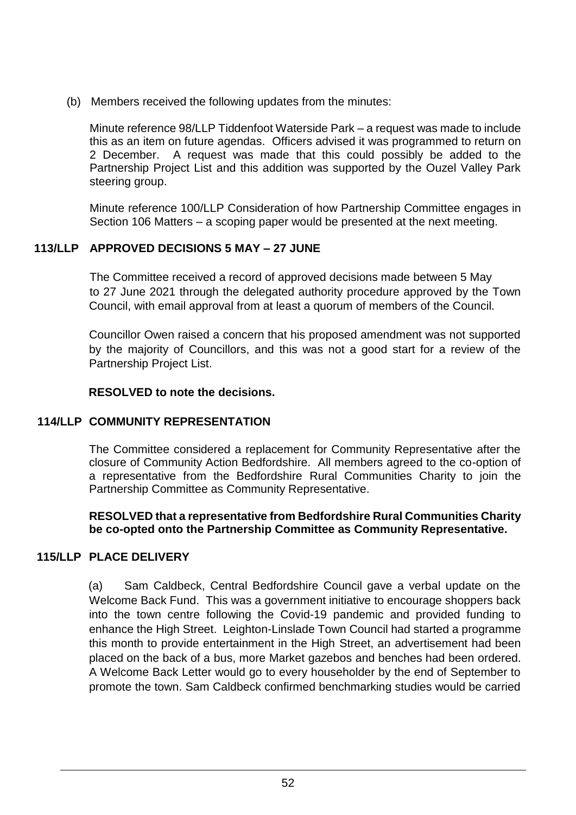(b) Members received the following updates from the minutes:

Minute reference 98/LLP Tiddenfoot Waterside Park – a request was made to include this as an item on future agendas. Officers advised it was programmed to return on 2 December. A request was made that this could possibly be added to the Partnership Project List and this addition was supported by the Ouzel Valley Park steering group.

Minute reference 100/LLP Consideration of how Partnership Committee engages in Section 106 Matters – a scoping paper would be presented at the next meeting.

# **113/LLP APPROVED DECISIONS 5 MAY – 27 JUNE**

The Committee received a record of approved decisions made between 5 May to 27 June 2021 through the delegated authority procedure approved by the Town Council, with email approval from at least a quorum of members of the Council.

Councillor Owen raised a concern that his proposed amendment was not supported by the majority of Councillors, and this was not a good start for a review of the Partnership Project List.

## **RESOLVED to note the decisions.**

# **114/LLP COMMUNITY REPRESENTATION**

The Committee considered a replacement for Community Representative after the closure of Community Action Bedfordshire. All members agreed to the co-option of a representative from the Bedfordshire Rural Communities Charity to join the Partnership Committee as Community Representative.

#### **RESOLVED that a representative from Bedfordshire Rural Communities Charity be co-opted onto the Partnership Committee as Community Representative.**

# **115/LLP PLACE DELIVERY**

(a) Sam Caldbeck, Central Bedfordshire Council gave a verbal update on the Welcome Back Fund. This was a government initiative to encourage shoppers back into the town centre following the Covid-19 pandemic and provided funding to enhance the High Street. Leighton-Linslade Town Council had started a programme this month to provide entertainment in the High Street, an advertisement had been placed on the back of a bus, more Market gazebos and benches had been ordered. A Welcome Back Letter would go to every householder by the end of September to promote the town. Sam Caldbeck confirmed benchmarking studies would be carried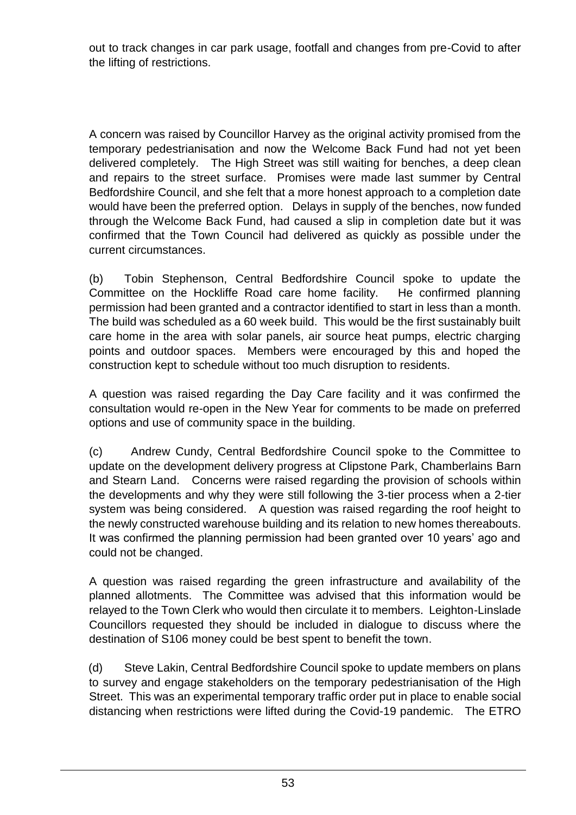out to track changes in car park usage, footfall and changes from pre-Covid to after the lifting of restrictions.

A concern was raised by Councillor Harvey as the original activity promised from the temporary pedestrianisation and now the Welcome Back Fund had not yet been delivered completely. The High Street was still waiting for benches, a deep clean and repairs to the street surface. Promises were made last summer by Central Bedfordshire Council, and she felt that a more honest approach to a completion date would have been the preferred option. Delays in supply of the benches, now funded through the Welcome Back Fund, had caused a slip in completion date but it was confirmed that the Town Council had delivered as quickly as possible under the current circumstances.

(b) Tobin Stephenson, Central Bedfordshire Council spoke to update the Committee on the Hockliffe Road care home facility. He confirmed planning permission had been granted and a contractor identified to start in less than a month. The build was scheduled as a 60 week build. This would be the first sustainably built care home in the area with solar panels, air source heat pumps, electric charging points and outdoor spaces. Members were encouraged by this and hoped the construction kept to schedule without too much disruption to residents.

A question was raised regarding the Day Care facility and it was confirmed the consultation would re-open in the New Year for comments to be made on preferred options and use of community space in the building.

(c) Andrew Cundy, Central Bedfordshire Council spoke to the Committee to update on the development delivery progress at Clipstone Park, Chamberlains Barn and Stearn Land. Concerns were raised regarding the provision of schools within the developments and why they were still following the 3-tier process when a 2-tier system was being considered. A question was raised regarding the roof height to the newly constructed warehouse building and its relation to new homes thereabouts. It was confirmed the planning permission had been granted over 10 years' ago and could not be changed.

A question was raised regarding the green infrastructure and availability of the planned allotments. The Committee was advised that this information would be relayed to the Town Clerk who would then circulate it to members. Leighton-Linslade Councillors requested they should be included in dialogue to discuss where the destination of S106 money could be best spent to benefit the town.

(d) Steve Lakin, Central Bedfordshire Council spoke to update members on plans to survey and engage stakeholders on the temporary pedestrianisation of the High Street. This was an experimental temporary traffic order put in place to enable social distancing when restrictions were lifted during the Covid-19 pandemic. The ETRO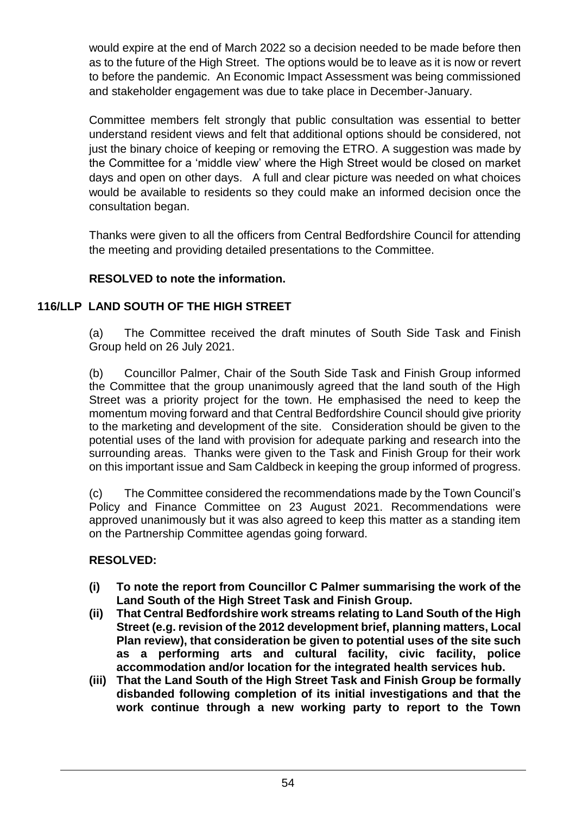would expire at the end of March 2022 so a decision needed to be made before then as to the future of the High Street. The options would be to leave as it is now or revert to before the pandemic. An Economic Impact Assessment was being commissioned and stakeholder engagement was due to take place in December-January.

Committee members felt strongly that public consultation was essential to better understand resident views and felt that additional options should be considered, not just the binary choice of keeping or removing the ETRO. A suggestion was made by the Committee for a 'middle view' where the High Street would be closed on market days and open on other days. A full and clear picture was needed on what choices would be available to residents so they could make an informed decision once the consultation began.

Thanks were given to all the officers from Central Bedfordshire Council for attending the meeting and providing detailed presentations to the Committee.

# **RESOLVED to note the information.**

# **116/LLP LAND SOUTH OF THE HIGH STREET**

(a) The Committee received the draft minutes of South Side Task and Finish Group held on 26 July 2021.

(b) Councillor Palmer, Chair of the South Side Task and Finish Group informed the Committee that the group unanimously agreed that the land south of the High Street was a priority project for the town. He emphasised the need to keep the momentum moving forward and that Central Bedfordshire Council should give priority to the marketing and development of the site. Consideration should be given to the potential uses of the land with provision for adequate parking and research into the surrounding areas. Thanks were given to the Task and Finish Group for their work on this important issue and Sam Caldbeck in keeping the group informed of progress.

(c) The Committee considered the recommendations made by the Town Council's Policy and Finance Committee on 23 August 2021. Recommendations were approved unanimously but it was also agreed to keep this matter as a standing item on the Partnership Committee agendas going forward.

# **RESOLVED:**

- **(i) To note the report from Councillor C Palmer summarising the work of the Land South of the High Street Task and Finish Group.**
- **(ii) That Central Bedfordshire work streams relating to Land South of the High Street (e.g. revision of the 2012 development brief, planning matters, Local Plan review), that consideration be given to potential uses of the site such as a performing arts and cultural facility, civic facility, police accommodation and/or location for the integrated health services hub.**
- **(iii) That the Land South of the High Street Task and Finish Group be formally disbanded following completion of its initial investigations and that the work continue through a new working party to report to the Town**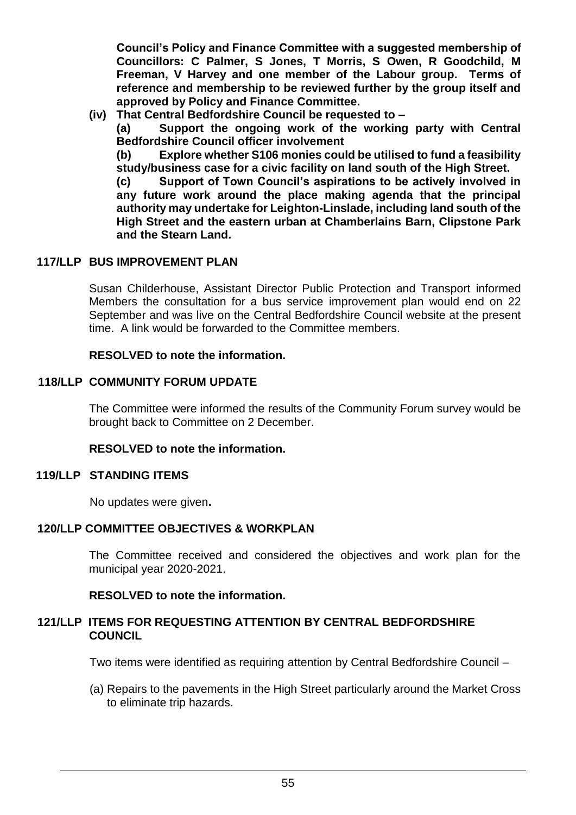**Council's Policy and Finance Committee with a suggested membership of Councillors: C Palmer, S Jones, T Morris, S Owen, R Goodchild, M Freeman, V Harvey and one member of the Labour group. Terms of reference and membership to be reviewed further by the group itself and approved by Policy and Finance Committee.**

**(iv) That Central Bedfordshire Council be requested to –**

**(a) Support the ongoing work of the working party with Central Bedfordshire Council officer involvement**

**(b) Explore whether S106 monies could be utilised to fund a feasibility study/business case for a civic facility on land south of the High Street.**

**(c) Support of Town Council's aspirations to be actively involved in any future work around the place making agenda that the principal authority may undertake for Leighton-Linslade, including land south of the High Street and the eastern urban at Chamberlains Barn, Clipstone Park and the Stearn Land.**

# **117/LLP BUS IMPROVEMENT PI AN**

Susan Childerhouse, Assistant Director Public Protection and Transport informed Members the consultation for a bus service improvement plan would end on 22 September and was live on the Central Bedfordshire Council website at the present time. A link would be forwarded to the Committee members.

## **RESOLVED to note the information.**

## **118/LLP COMMUNITY FORUM UPDATE**

The Committee were informed the results of the Community Forum survey would be brought back to Committee on 2 December.

#### **RESOLVED to note the information.**

#### **119/LLP STANDING ITEMS**

No updates were given**.**

#### **120/LLP COMMITTEE OBJECTIVES & WORKPLAN**

The Committee received and considered the objectives and work plan for the municipal year 2020-2021.

**RESOLVED to note the information.**

#### **121/LLP ITEMS FOR REQUESTING ATTENTION BY CENTRAL BEDFORDSHIRE COUNCIL**

Two items were identified as requiring attention by Central Bedfordshire Council –

(a) Repairs to the pavements in the High Street particularly around the Market Cross to eliminate trip hazards.